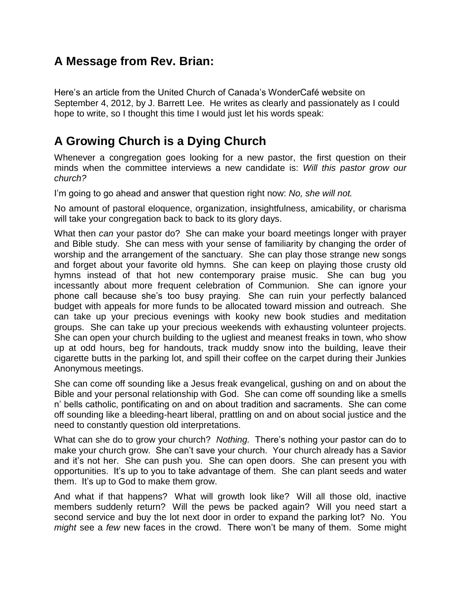## **A Message from Rev. Brian:**

Here's an article from the United Church of Canada's WonderCafé website on September 4, 2012, by J. Barrett Lee. He writes as clearly and passionately as I could hope to write, so I thought this time I would just let his words speak:

## **A Growing Church is a Dying Church**

Whenever a congregation goes looking for a new pastor, the first question on their minds when the committee interviews a new candidate is: *Will this pastor grow our church?*

I'm going to go ahead and answer that question right now: *No, she will not.*

No amount of pastoral eloquence, organization, insightfulness, amicability, or charisma will take your congregation back to back to its glory days.

What then *can* your pastor do? She can make your board meetings longer with prayer and Bible study. She can mess with your sense of familiarity by changing the order of worship and the arrangement of the sanctuary. She can play those strange new songs and forget about your favorite old hymns. She can keep on playing those crusty old hymns instead of that hot new contemporary praise music. She can bug you incessantly about more frequent celebration of Communion. She can ignore your phone call because she's too busy praying. She can ruin your perfectly balanced budget with appeals for more funds to be allocated toward mission and outreach. She can take up your precious evenings with kooky new book studies and meditation groups. She can take up your precious weekends with exhausting volunteer projects. She can open your church building to the ugliest and meanest freaks in town, who show up at odd hours, beg for handouts, track muddy snow into the building, leave their cigarette butts in the parking lot, and spill their coffee on the carpet during their Junkies Anonymous meetings.

She can come off sounding like a Jesus freak evangelical, gushing on and on about the Bible and your personal relationship with God. She can come off sounding like a smells n' bells catholic, pontificating on and on about tradition and sacraments. She can come off sounding like a bleeding-heart liberal, prattling on and on about social justice and the need to constantly question old interpretations.

What can she do to grow your church? *Nothing.* There's nothing your pastor can do to make your church grow. She can't save your church. Your church already has a Savior and it's not her. She can push you. She can open doors. She can present you with opportunities. It's up to you to take advantage of them. She can plant seeds and water them. It's up to God to make them grow.

And what if that happens? What will growth look like? Will all those old, inactive members suddenly return? Will the pews be packed again? Will you need start a second service and buy the lot next door in order to expand the parking lot? No. You *might* see a *few* new faces in the crowd. There won't be many of them. Some might